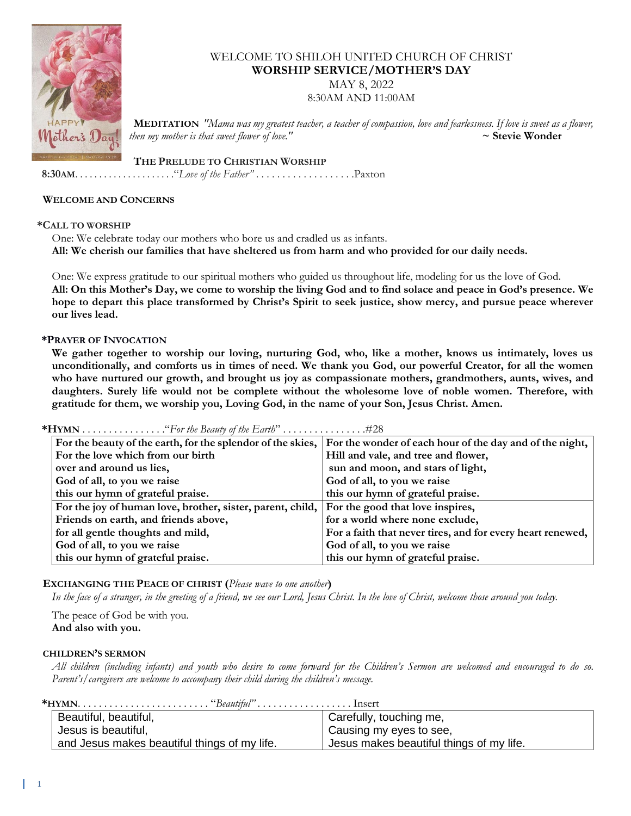

# WELCOME TO SHILOH UNITED CHURCH OF CHRIST **WORSHIP SERVICE/MOTHER'S DAY**

MAY 8, 2022

8:30AM AND 11:00AM

 **MEDITATION** *"Mama was my greatest teacher, a teacher of compassion, love and fearlessness. If love is sweet as a flower, then my mother is that sweet flower of love."* **~ Stevie Wonder**

 **THE PRELUDE TO CHRISTIAN WORSHIP**

 **8:30AM**. . . . . . . . . . . . . . . . . . . . ."*Love of the Father"* . . . . . . . . . . . . . . . . . . .Paxton

#### **WELCOME AND CONCERNS**

#### **\*CALL TO WORSHIP**

One: We celebrate today our mothers who bore us and cradled us as infants. **All: We cherish our families that have sheltered us from harm and who provided for our daily needs.**

One: We express gratitude to our spiritual mothers who guided us throughout life, modeling for us the love of God. **All: On this Mother's Day, we come to worship the living God and to find solace and peace in God's presence. We hope to depart this place transformed by Christ's Spirit to seek justice, show mercy, and pursue peace wherever our lives lead.**

#### **\*PRAYER OF INVOCATION**

**We gather together to worship our loving, nurturing God, who, like a mother, knows us intimately, loves us unconditionally, and comforts us in times of need. We thank you God, our powerful Creator, for all the women who have nurtured our growth, and brought us joy as compassionate mothers, grandmothers, aunts, wives, and daughters. Surely life would not be complete without the wholesome love of noble women. Therefore, with gratitude for them, we worship you, Loving God, in the name of your Son, Jesus Christ. Amen.**

**\*HYMN** . . . . . . . . . . . . . . . ."*For the Beauty of the Earth*" . . . . . . . . . . . . . . . .#28

| For the beauty of the earth, for the splendor of the skies,                                 | For the wonder of each hour of the day and of the night,   |
|---------------------------------------------------------------------------------------------|------------------------------------------------------------|
| For the love which from our birth                                                           | Hill and vale, and tree and flower,                        |
| over and around us lies,                                                                    | sun and moon, and stars of light,                          |
| God of all, to you we raise                                                                 | God of all, to you we raise                                |
| this our hymn of grateful praise.                                                           | this our hymn of grateful praise.                          |
| For the joy of human love, brother, sister, parent, child, For the good that love inspires, |                                                            |
| Friends on earth, and friends above,                                                        | for a world where none exclude,                            |
| for all gentle thoughts and mild,                                                           | For a faith that never tires, and for every heart renewed, |
| God of all, to you we raise                                                                 | God of all, to you we raise                                |
| this our hymn of grateful praise.                                                           | this our hymn of grateful praise.                          |

### **EXCHANGING THE PEACE OF CHRIST (***Please wave to one another***)**

*In the face of a stranger, in the greeting of a friend, we see our Lord, Jesus Christ. In the love of Christ, welcome those around you today.*

The peace of God be with you. **And also with you.**

#### **CHILDREN'S SERMON**

*All children (including infants) and youth who desire to come forward for the Children's Sermon are welcomed and encouraged to do so. Parent's/caregivers are welcome to accompany their child during the children's message.*

| Beautiful, beautiful,                        | Carefully, touching me,                  |  |
|----------------------------------------------|------------------------------------------|--|
| Jesus is beautiful,                          | Causing my eyes to see,                  |  |
| and Jesus makes beautiful things of my life. | Jesus makes beautiful things of my life. |  |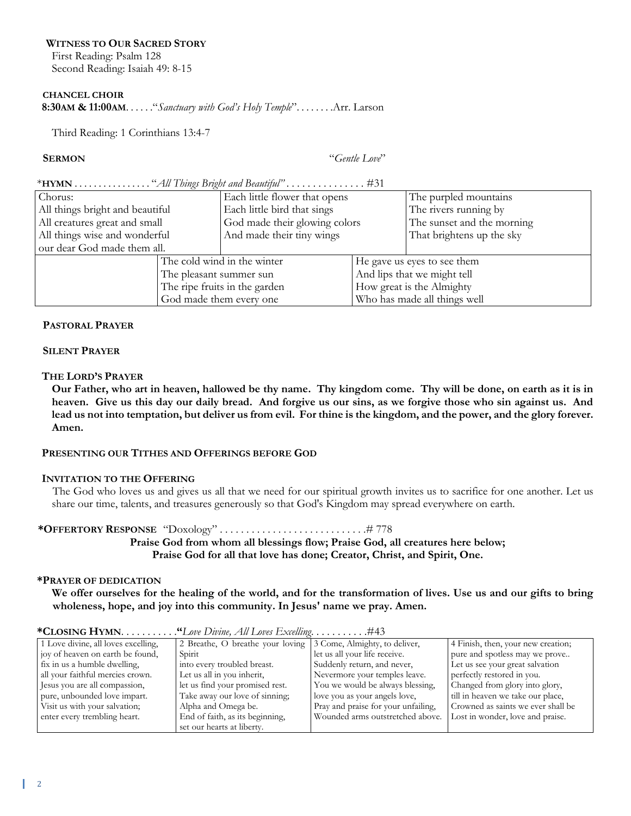### **WITNESS TO OUR SACRED STORY**

First Reading: Psalm 128 Second Reading: Isaiah 49: 8-15

#### **CHANCEL CHOIR**

 **8:30AM & 11:00AM**. . . . . ."*Sanctuary with God's Holy Temple*". . . . . . . .Arr. Larson

Third Reading: 1 Corinthians 13:4-7

**SERMON** "*Gentle Love*"

#### \***HYMN** . . . . . . . . . . . . . . . . "*All Things Bright and Beautiful" . . . . . . . . . . . .* . . . #31

| Chorus:                         |                               | Each little flower that opens |                              | The purpled mountains      |
|---------------------------------|-------------------------------|-------------------------------|------------------------------|----------------------------|
| All things bright and beautiful |                               | Each little bird that sings   |                              | The rivers running by      |
| All creatures great and small   |                               | God made their glowing colors |                              | The sunset and the morning |
| All things wise and wonderful   |                               | And made their tiny wings     |                              | That brightens up the sky  |
| our dear God made them all.     |                               |                               |                              |                            |
|                                 | The cold wind in the winter   |                               | He gave us eyes to see them  |                            |
|                                 | The pleasant summer sun       |                               | And lips that we might tell  |                            |
|                                 | The ripe fruits in the garden |                               | How great is the Almighty    |                            |
|                                 | God made them every one       |                               | Who has made all things well |                            |

### **PASTORAL PRAYER**

#### **SILENT PRAYER**

### **THE LORD'S PRAYER**

**Our Father, who art in heaven, hallowed be thy name. Thy kingdom come. Thy will be done, on earth as it is in heaven. Give us this day our daily bread. And forgive us our sins, as we forgive those who sin against us. And lead us not into temptation, but deliver us from evil. For thine is the kingdom, and the power, and the glory forever. Amen.**

### **PRESENTING OUR TITHES AND OFFERINGS BEFORE GOD**

### **INVITATION TO THE OFFERING**

The God who loves us and gives us all that we need for our spiritual growth invites us to sacrifice for one another. Let us share our time, talents, and treasures generously so that God's Kingdom may spread everywhere on earth.

# **\*OFFERTORY RESPONSE** "Doxology" . . . . . . . . . . . . . . . . . . . . . . . . . . . .# 778

**Praise God from whom all blessings flow; Praise God, all creatures here below; Praise God for all that love has done; Creator, Christ, and Spirit, One.**

### **\*PRAYER OF DEDICATION**

**We offer ourselves for the healing of the world, and for the transformation of lives. Use us and our gifts to bring wholeness, hope, and joy into this community. In Jesus' name we pray. Amen.**

| 1 Love divine, all loves excelling, | 2 Breathe, O breathe your loving 13 Come, Almighty, to deliver, |                                     | 4 Finish, then, your new creation; |
|-------------------------------------|-----------------------------------------------------------------|-------------------------------------|------------------------------------|
| joy of heaven on earth be found,    | Spirit                                                          | let us all your life receive.       | pure and spotless may we prove     |
| fix in us a humble dwelling,        | into every troubled breast.                                     | Suddenly return, and never,         | Let us see your great salvation    |
| all your faithful mercies crown.    | Let us all in you inherit,                                      | Nevermore your temples leave.       | perfectly restored in you.         |
| Jesus you are all compassion,       | let us find your promised rest.                                 | You we would be always blessing,    | Changed from glory into glory,     |
| pure, unbounded love impart.        | Take away our love of sinning;                                  | love you as your angels love,       | till in heaven we take our place,  |
| Visit us with your salvation;       | Alpha and Omega be.                                             | Pray and praise for your unfailing, | Crowned as saints we ever shall be |
| enter every trembling heart.        | End of faith, as its beginning,                                 | Wounded arms outstretched above.    | Lost in wonder, love and praise.   |
|                                     | set our hearts at liberty.                                      |                                     |                                    |

**\*CLOSING HYMN**. . . . . . . . . . .**"***Love Divine, All Loves Excelling*. . . . . . . . . . .#43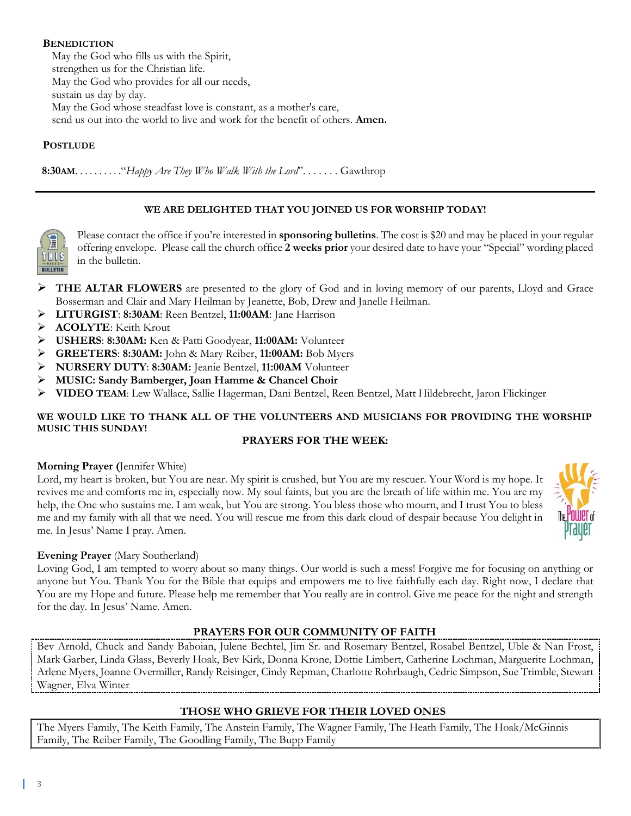# **BENEDICTION**

May the God who fills us with the Spirit, strengthen us for the Christian life. May the God who provides for all our needs, sustain us day by day. May the God whose steadfast love is constant, as a mother's care, send us out into the world to live and work for the benefit of others. **Amen.**

# **POSTLUDE**

 **8:30AM**. . . . . . . . . ."*Happy Are They Who Walk With the Lord*". . . . . . . Gawthrop

# **WE ARE DELIGHTED THAT YOU JOINED US FOR WORSHIP TODAY!**



Please contact the office if you're interested in **sponsoring bulletins**. The cost is \$20 and may be placed in your regular offering envelope. Please call the church office **2 weeks prior** your desired date to have your "Special" wording placed in the bulletin.

- ➢ **THE ALTAR FLOWERS** are presented to the glory of God and in loving memory of our parents, Lloyd and Grace Bosserman and Clair and Mary Heilman by Jeanette, Bob, Drew and Janelle Heilman.
- ➢ **LITURGIST**: **8:30AM**: Reen Bentzel, **11:00AM**: Jane Harrison
- ➢ **ACOLYTE**: Keith Krout
- ➢ **USHERS**: **8:30AM:** Ken & Patti Goodyear, **11:00AM:** Volunteer
- ➢ **GREETERS**: **8:30AM:** John & Mary Reiber, **11:00AM:** Bob Myers
- ➢ **NURSERY DUTY**: **8:30AM:** Jeanie Bentzel, **11:00AM** Volunteer
- ➢ **MUSIC: Sandy Bamberger, Joan Hamme & Chancel Choir**
- ➢ **VIDEO TEAM**: Lew Wallace, Sallie Hagerman, Dani Bentzel, Reen Bentzel, Matt Hildebrecht, Jaron Flickinger

# **WE WOULD LIKE TO THANK ALL OF THE VOLUNTEERS AND MUSICIANS FOR PROVIDING THE WORSHIP MUSIC THIS SUNDAY!**

### **PRAYERS FOR THE WEEK:**

### **Morning Prayer (**Jennifer White)

Lord, my heart is broken, but You are near. My spirit is crushed, but You are my rescuer. Your Word is my hope. It revives me and comforts me in, especially now. My soul faints, but you are the breath of life within me. You are my help, the One who sustains me. I am weak, but You are strong. You bless those who mourn, and I trust You to bless me and my family with all that we need. You will rescue me from this dark cloud of despair because You delight in me. In Jesus' Name I pray. Amen.

# **Evening Prayer** (Mary Southerland)

Loving God, I am tempted to worry about so many things. Our world is such a mess! Forgive me for focusing on anything or anyone but You. Thank You for the Bible that equips and empowers me to live faithfully each day. Right now, I declare that You are my Hope and future. Please help me remember that You really are in control. Give me peace for the night and strength for the day. In Jesus' Name. Amen.

# **PRAYERS FOR OUR COMMUNITY OF FAITH**

Bev Arnold, Chuck and Sandy Baboian, Julene Bechtel, Jim Sr. and Rosemary Bentzel, Rosabel Bentzel, Uble & Nan Frost, Mark Garber, Linda Glass, Beverly Hoak, Bev Kirk, Donna Krone, Dottie Limbert, Catherine Lochman, Marguerite Lochman, Arlene Myers, Joanne Overmiller, Randy Reisinger, Cindy Repman, Charlotte Rohrbaugh, Cedric Simpson, Sue Trimble, Stewart Wagner, Elva Winter

# **THOSE WHO GRIEVE FOR THEIR LOVED ONES**

The Myers Family, The Keith Family, The Anstein Family, The Wagner Family, The Heath Family, The Hoak/McGinnis Family, The Reiber Family, The Goodling Family, The Bupp Family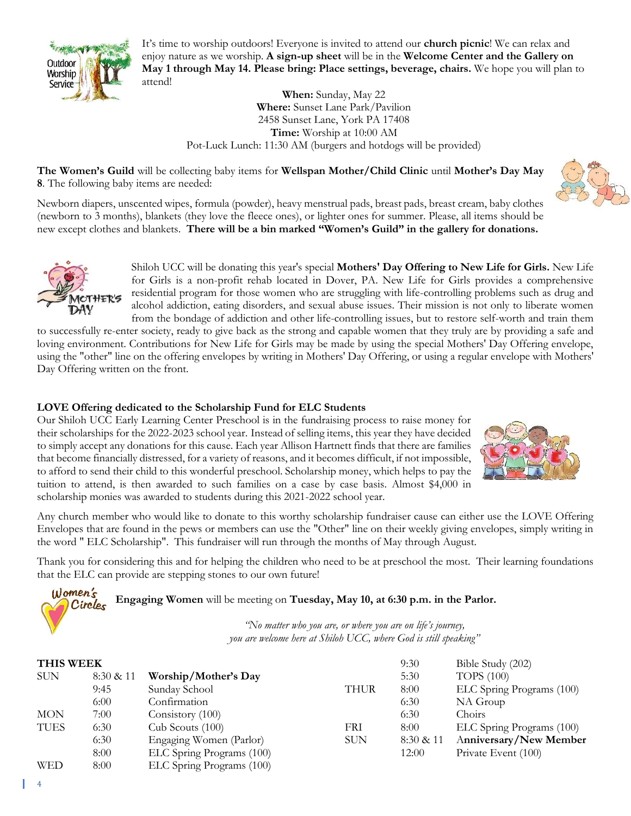

It's time to worship outdoors! Everyone is invited to attend our **church picnic**! We can relax and enjoy nature as we worship. **A sign-up sheet** will be in the **Welcome Center and the Gallery on May 1 through May 14. Please bring: Place settings, beverage, chairs.** We hope you will plan to attend!

> **When:** Sunday, May 22 **Where:** Sunset Lane Park/Pavilion 2458 Sunset Lane, York PA 17408 **Time:** Worship at 10:00 AM Pot-Luck Lunch: 11:30 AM (burgers and hotdogs will be provided)

**The Women's Guild** will be collecting baby items for **Wellspan Mother/Child Clinic** until **Mother's Day May 8**. The following baby items are needed:



Newborn diapers, unscented wipes, formula (powder), heavy menstrual pads, breast pads, breast cream, baby clothes (newborn to 3 months), blankets (they love the fleece ones), or lighter ones for summer. Please, all items should be new except clothes and blankets. **There will be a bin marked "Women's Guild" in the gallery for donations.**



 $N$  omen's Circles Shiloh UCC will be donating this year's special **Mothers' Day Offering to New Life for Girls.** New Life for Girls is a non-profit rehab located in Dover, PA. New Life for Girls provides a comprehensive residential program for those women who are struggling with life-controlling problems such as drug and alcohol addiction, eating disorders, and sexual abuse issues. Their mission is not only to liberate women from the bondage of addiction and other life-controlling issues, but to restore self-worth and train them

to successfully re-enter society, ready to give back as the strong and capable women that they truly are by providing a safe and loving environment. Contributions for New Life for Girls may be made by using the special Mothers' Day Offering envelope, using the "other" line on the offering envelopes by writing in Mothers' Day Offering, or using a regular envelope with Mothers' Day Offering written on the front.

# **LOVE Offering dedicated to the Scholarship Fund for ELC Students**

Our Shiloh UCC Early Learning Center Preschool is in the fundraising process to raise money for their scholarships for the 2022-2023 school year. Instead of selling items, this year they have decided to simply accept any donations for this cause. Each year Allison Hartnett finds that there are families that become financially distressed, for a variety of reasons, and it becomes difficult, if not impossible, to afford to send their child to this wonderful preschool. Scholarship money, which helps to pay the tuition to attend, is then awarded to such families on a case by case basis. Almost \$4,000 in scholarship monies was awarded to students during this 2021-2022 school year.



Any church member who would like to donate to this worthy scholarship fundraiser cause can either use the LOVE Offering Envelopes that are found in the pews or members can use the "Other" line on their weekly giving envelopes, simply writing in the word " ELC Scholarship". This fundraiser will run through the months of May through August.

Thank you for considering this and for helping the children who need to be at preschool the most. Their learning foundations that the ELC can provide are stepping stones to our own future!

**Engaging Women** will be meeting on **Tuesday, May 10, at 6:30 p.m. in the Parlor.**

*"No matter who you are, or where you are on life's journey, you are welcome here at Shiloh UCC, where God is still speaking"*

| <b>THIS WEEK</b> |           |                           |             | 9:30      | Bible Study (202)         |
|------------------|-----------|---------------------------|-------------|-----------|---------------------------|
| <b>SUN</b>       | 8:30 & 11 | Worship/Mother's Day      |             | 5:30      | <b>TOPS</b> (100)         |
|                  | 9:45      | Sunday School             | <b>THUR</b> | 8:00      | ELC Spring Programs (100) |
|                  | 6:00      | Confirmation              |             | 6:30      | NA Group                  |
| <b>MON</b>       | 7:00      | Consistory (100)          |             | 6:30      | Choirs                    |
| <b>TUES</b>      | 6:30      | Cub Scouts (100)          | FRI         | 8:00      | ELC Spring Programs (100) |
|                  | 6:30      | Engaging Women (Parlor)   | <b>SUN</b>  | 8:30 & 11 | Anniversary/New Member    |
|                  | 8:00      | ELC Spring Programs (100) |             | 12:00     | Private Event (100)       |
| WED              | 8:00      | ELC Spring Programs (100) |             |           |                           |